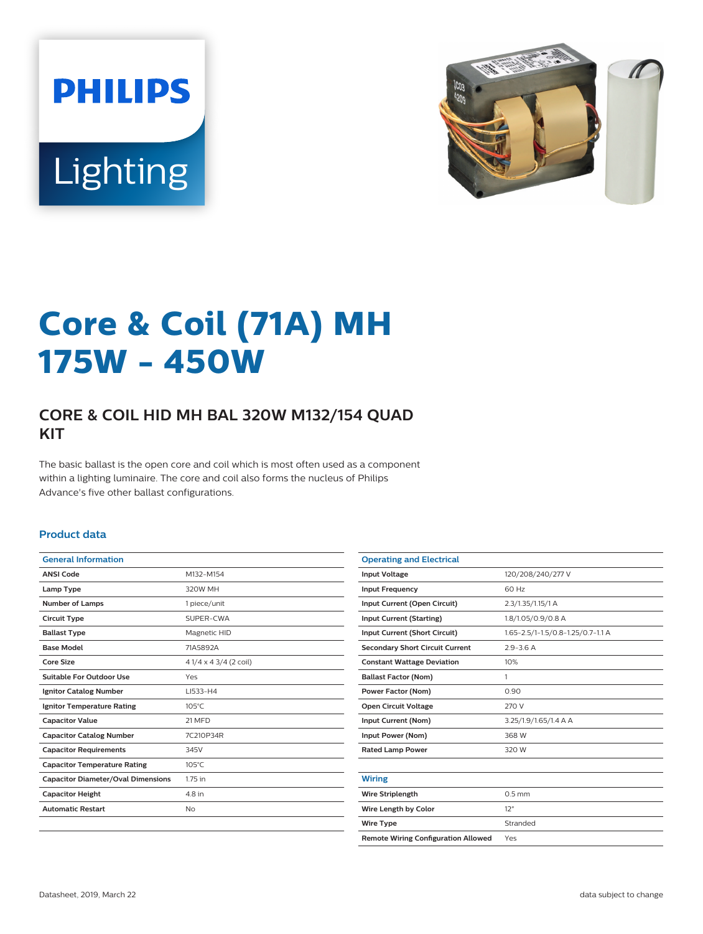



# **Core & Coil (71A) MH 175W - 450W**

## **CORE & COIL HID MH BAL 320W M132/154 QUAD KIT**

The basic ballast is the open core and coil which is most often used as a component within a lighting luminaire. The core and coil also forms the nucleus of Philips Advance's five other ballast configurations.

### **Product data**

| <b>General Information</b>                |                        |
|-------------------------------------------|------------------------|
| <b>ANSI Code</b>                          | M132-M154              |
| Lamp Type                                 | 320W MH                |
| <b>Number of Lamps</b>                    | 1 piece/unit           |
| <b>Circuit Type</b>                       | SUPER-CWA              |
| <b>Ballast Type</b>                       | Magnetic HID           |
| <b>Base Model</b>                         | 71A5892A               |
| Core Size                                 | 4 1/4 x 4 3/4 (2 coil) |
| Suitable For Outdoor Use                  | Yes                    |
| <b>Ignitor Catalog Number</b>             | LI533-H4               |
| <b>Ignitor Temperature Rating</b>         | $105^{\circ}$ C        |
| <b>Capacitor Value</b>                    | 21 MFD                 |
| <b>Capacitor Catalog Number</b>           | 7C210P34R              |
| <b>Capacitor Requirements</b>             | 345V                   |
| <b>Capacitor Temperature Rating</b>       | $105^{\circ}$ C        |
| <b>Capacitor Diameter/Oval Dimensions</b> | 1.75 in                |
| <b>Capacitor Height</b>                   | 4.8 in                 |
| <b>Automatic Restart</b>                  | <b>No</b>              |
|                                           |                        |

| <b>Operating and Electrical</b>            |                                   |  |  |  |  |  |
|--------------------------------------------|-----------------------------------|--|--|--|--|--|
| <b>Input Voltage</b>                       | 120/208/240/277 V                 |  |  |  |  |  |
| <b>Input Frequency</b>                     | 60 Hz                             |  |  |  |  |  |
| Input Current (Open Circuit)               | 2.3/1.35/1.15/1 A                 |  |  |  |  |  |
| <b>Input Current (Starting)</b>            | 1.8/1.05/0.9/0.8 A                |  |  |  |  |  |
| Input Current (Short Circuit)              | 1.65-2.5/1-1.5/0.8-1.25/0.7-1.1 A |  |  |  |  |  |
| <b>Secondary Short Circuit Current</b>     | $29 - 36A$                        |  |  |  |  |  |
| <b>Constant Wattage Deviation</b>          | 10%                               |  |  |  |  |  |
| <b>Ballast Factor (Nom)</b>                | 1                                 |  |  |  |  |  |
| <b>Power Factor (Nom)</b>                  | 0.90                              |  |  |  |  |  |
| <b>Open Circuit Voltage</b>                | 270 V                             |  |  |  |  |  |
| Input Current (Nom)                        | 3.25/1.9/1.65/1.4 A A             |  |  |  |  |  |
| Input Power (Nom)                          | 368 W                             |  |  |  |  |  |
| <b>Rated Lamp Power</b>                    | 320 W                             |  |  |  |  |  |
|                                            |                                   |  |  |  |  |  |
| <b>Wiring</b>                              |                                   |  |  |  |  |  |
| <b>Wire Striplength</b>                    | $0.5$ mm                          |  |  |  |  |  |
| Wire Length by Color                       | 12"                               |  |  |  |  |  |
| <b>Wire Type</b>                           | Stranded                          |  |  |  |  |  |
| <b>Remote Wiring Configuration Allowed</b> | Yes                               |  |  |  |  |  |
|                                            |                                   |  |  |  |  |  |